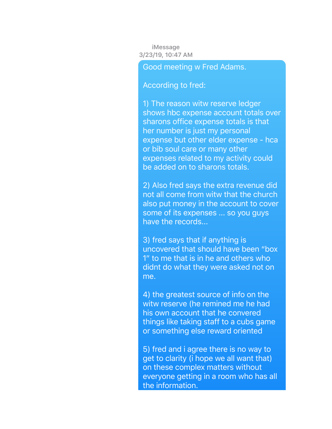**iMessage 3/23/19, 10/47 AM**

Good meeting w Fred Adams.

## According to fred:

1) The reason witw reserve ledger shows hbc expense account totals over sharons office expense totals is that her number is just my personal expense but other elder expense - hca or bib soul care or many other expenses related to my activity could be added on to sharons totals.

2) Also fred says the extra revenue did not all come from witw that the church also put money in the account to cover some of its expenses ... so you guys have the records...

3) fred says that if anything is uncovered that should have been "box 1" to me that is in he and others who didnt do what they were asked not on me.

4) the greatest source of info on the witw reserve (he remined me he had his own account that he convered things like taking staff to a cubs game or something else reward oriented

5) fred and i agree there is no way to get to clarity (i hope we all want that) on these complex matters without everyone getting in a room who has all the information.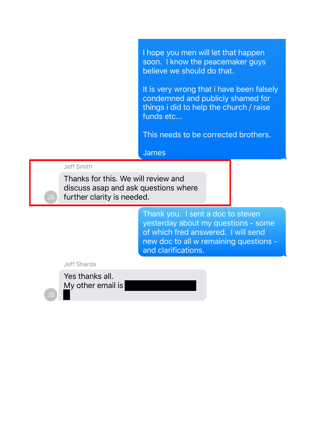I hope you men will let that happen soon. I know the peacemaker guys believe we should do that.

It is very wrong that i have been falsely condemned and publicly shamed for things i did to help the church / raise funds etc...

This needs to be corrected brothers.

## James